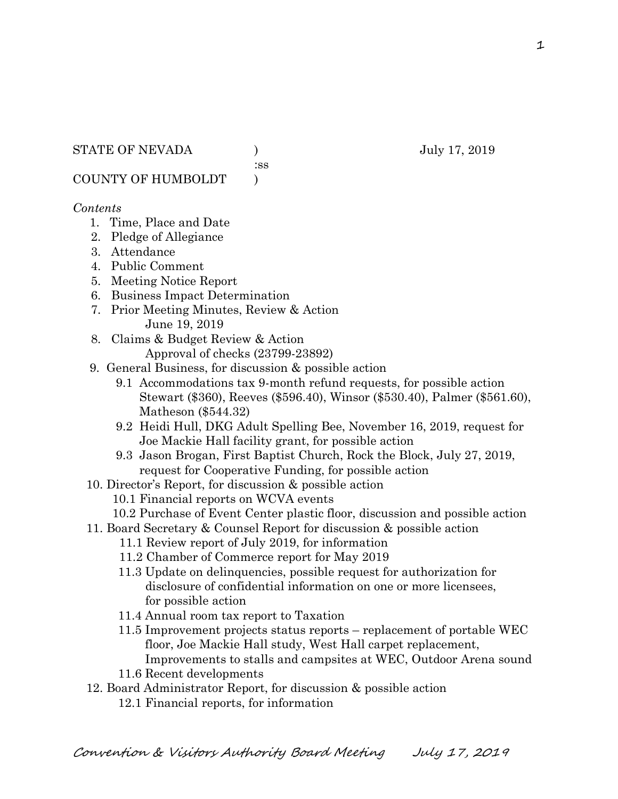:ss

COUNTY OF HUMBOLDT )

## *Contents*

- 1. Time, Place and Date
- 2. Pledge of Allegiance
- 3. Attendance
- 4. Public Comment
- 5. Meeting Notice Report
- 6. Business Impact Determination
- 7. Prior Meeting Minutes, Review & Action June 19, 2019
- 8. Claims & Budget Review & Action Approval of checks (23799-23892)
- 9. General Business, for discussion & possible action
	- 9.1 Accommodations tax 9-month refund requests, for possible action Stewart (\$360), Reeves (\$596.40), Winsor (\$530.40), Palmer (\$561.60), Matheson (\$544.32)
	- 9.2 Heidi Hull, DKG Adult Spelling Bee, November 16, 2019, request for Joe Mackie Hall facility grant, for possible action
	- 9.3 Jason Brogan, First Baptist Church, Rock the Block, July 27, 2019, request for Cooperative Funding, for possible action
- 10. Director's Report, for discussion & possible action
	- 10.1 Financial reports on WCVA events
- 10.2 Purchase of Event Center plastic floor, discussion and possible action
- 11. Board Secretary & Counsel Report for discussion & possible action
	- 11.1 Review report of July 2019, for information
	- 11.2 Chamber of Commerce report for May 2019
	- 11.3 Update on delinquencies, possible request for authorization for disclosure of confidential information on one or more licensees, for possible action
	- 11.4 Annual room tax report to Taxation
	- 11.5 Improvement projects status reports replacement of portable WEC floor, Joe Mackie Hall study, West Hall carpet replacement, Improvements to stalls and campsites at WEC, Outdoor Arena sound
	- 11.6 Recent developments
- 12. Board Administrator Report, for discussion & possible action
	- 12.1 Financial reports, for information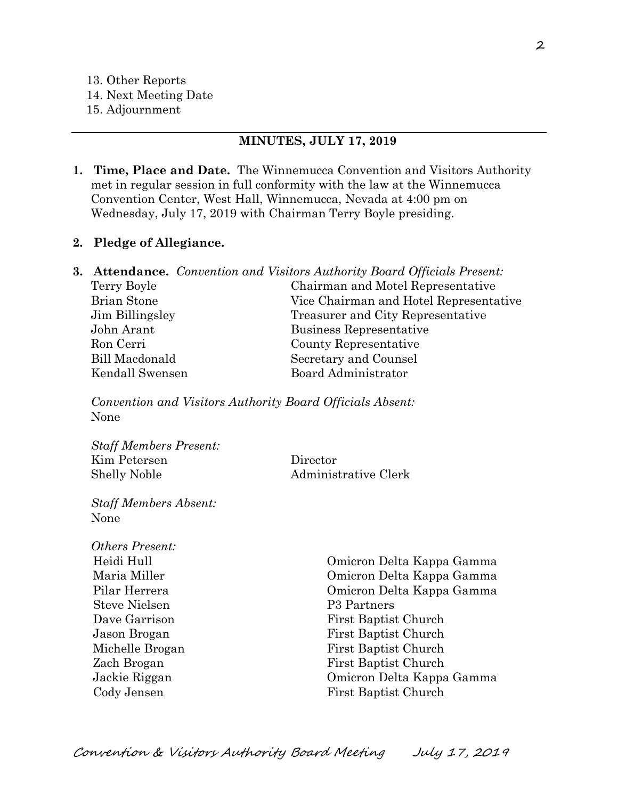- 14. Next Meeting Date
- 15. Adjournment

#### **MINUTES, JULY 17, 2019**

**1. Time, Place and Date.** The Winnemucca Convention and Visitors Authority met in regular session in full conformity with the law at the Winnemucca Convention Center, West Hall, Winnemucca, Nevada at 4:00 pm on Wednesday, July 17, 2019 with Chairman Terry Boyle presiding.

#### **2. Pledge of Allegiance.**

|                    | <b>3. Attendance.</b> Convention and Visitors Authority Board Officials Present: |
|--------------------|----------------------------------------------------------------------------------|
| Terry Boyle        | Chairman and Motel Representative                                                |
| <b>Brian Stone</b> | Vice Chairman and Hotel Representative                                           |
| Jim Billingsley    | Treasurer and City Representative                                                |
| John Arant         | Business Representative                                                          |
| Ron Cerri          | County Representative                                                            |
| Bill Macdonald     | Secretary and Counsel                                                            |
| Kendall Swensen    | Board Administrator                                                              |
|                    |                                                                                  |

*Convention and Visitors Authority Board Officials Absent:* None

*Staff Members Present:* Kim Petersen Director Shelly Noble Administrative Clerk

*Staff Members Absent:* None

*Others Present:* Steve Nielsen P3 Partners

 Heidi Hull Omicron Delta Kappa Gamma Maria Miller Omicron Delta Kappa Gamma Pilar Herrera Omicron Delta Kappa Gamma Dave Garrison First Baptist Church Jason Brogan First Baptist Church Michelle Brogan First Baptist Church Zach Brogan First Baptist Church Jackie Riggan Omicron Delta Kappa Gamma Cody Jensen First Baptist Church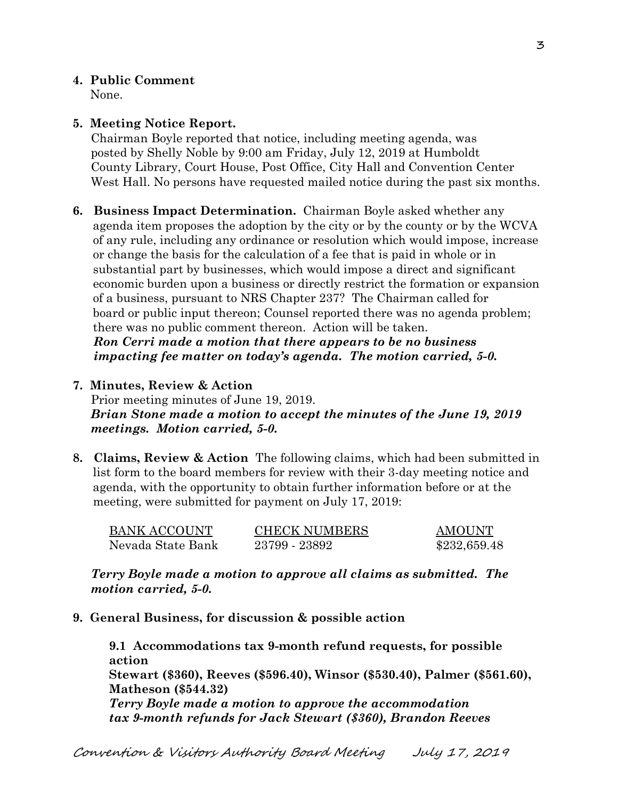## **4. Public Comment**

None.

## **5. Meeting Notice Report.**

Chairman Boyle reported that notice, including meeting agenda, was posted by Shelly Noble by 9:00 am Friday, July 12, 2019 at Humboldt County Library, Court House, Post Office, City Hall and Convention Center West Hall. No persons have requested mailed notice during the past six months.

- **6. Business Impact Determination.** Chairman Boyle asked whether any agenda item proposes the adoption by the city or by the county or by the WCVA of any rule, including any ordinance or resolution which would impose, increase or change the basis for the calculation of a fee that is paid in whole or in substantial part by businesses, which would impose a direct and significant economic burden upon a business or directly restrict the formation or expansion of a business, pursuant to NRS Chapter 237? The Chairman called for board or public input thereon; Counsel reported there was no agenda problem; there was no public comment thereon. Action will be taken.  *Ron Cerri made a motion that there appears to be no business impacting fee matter on today's agenda. The motion carried, 5-0.*
- **7. Minutes, Review & Action**

Prior meeting minutes of June 19, 2019. *Brian Stone made a motion to accept the minutes of the June 19, 2019 meetings. Motion carried, 5-0.* 

**8. Claims, Review & Action** The following claims, which had been submitted in list form to the board members for review with their 3-day meeting notice and agenda, with the opportunity to obtain further information before or at the meeting, were submitted for payment on July 17, 2019:

| BANK ACCOUNT      | <b>CHECK NUMBERS</b> | AMOUNT       |
|-------------------|----------------------|--------------|
| Nevada State Bank | 23799 - 23892        | \$232,659.48 |

*Terry Boyle made a motion to approve all claims as submitted. The motion carried, 5-0.*

**9. General Business, for discussion & possible action**

**9.1 Accommodations tax 9-month refund requests, for possible action Stewart (\$360), Reeves (\$596.40), Winsor (\$530.40), Palmer (\$561.60), Matheson (\$544.32)** *Terry Boyle made a motion to approve the accommodation tax 9-month refunds for Jack Stewart (\$360), Brandon Reeves*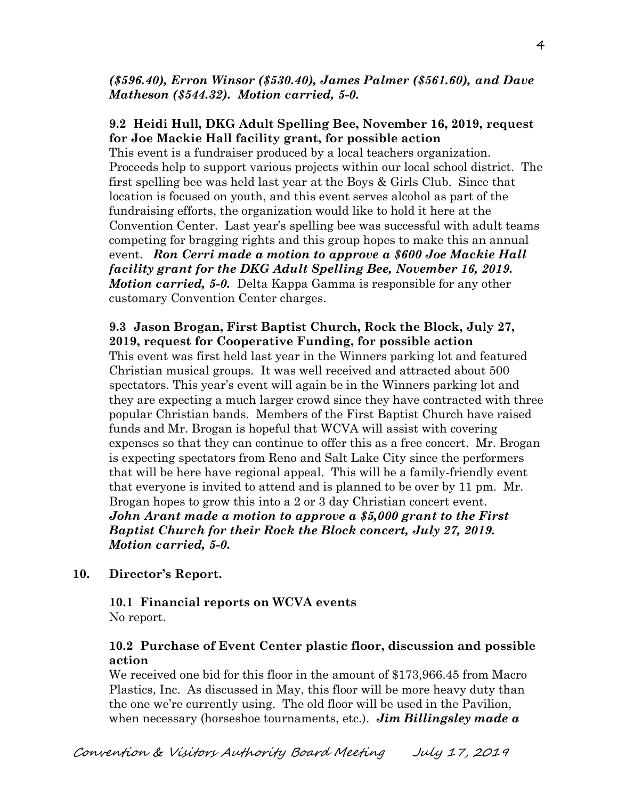## *(\$596.40), Erron Winsor (\$530.40), James Palmer (\$561.60), and Dave Matheson (\$544.32). Motion carried, 5-0.*

## **9.2 Heidi Hull, DKG Adult Spelling Bee, November 16, 2019, request for Joe Mackie Hall facility grant, for possible action**

This event is a fundraiser produced by a local teachers organization. Proceeds help to support various projects within our local school district. The first spelling bee was held last year at the Boys & Girls Club. Since that location is focused on youth, and this event serves alcohol as part of the fundraising efforts, the organization would like to hold it here at the Convention Center. Last year's spelling bee was successful with adult teams competing for bragging rights and this group hopes to make this an annual event. *Ron Cerri made a motion to approve a \$600 Joe Mackie Hall facility grant for the DKG Adult Spelling Bee, November 16, 2019. Motion carried, 5-0.* Delta Kappa Gamma is responsible for any other customary Convention Center charges.

# **9.3 Jason Brogan, First Baptist Church, Rock the Block, July 27, 2019, request for Cooperative Funding, for possible action**

This event was first held last year in the Winners parking lot and featured Christian musical groups. It was well received and attracted about 500 spectators. This year's event will again be in the Winners parking lot and they are expecting a much larger crowd since they have contracted with three popular Christian bands. Members of the First Baptist Church have raised funds and Mr. Brogan is hopeful that WCVA will assist with covering expenses so that they can continue to offer this as a free concert. Mr. Brogan is expecting spectators from Reno and Salt Lake City since the performers that will be here have regional appeal. This will be a family-friendly event that everyone is invited to attend and is planned to be over by 11 pm. Mr. Brogan hopes to grow this into a 2 or 3 day Christian concert event. *John Arant made a motion to approve a \$5,000 grant to the First Baptist Church for their Rock the Block concert, July 27, 2019. Motion carried, 5-0.*

## **10. Director's Report.**

## **10.1 Financial reports on WCVA events**  No report.

## **10.2 Purchase of Event Center plastic floor, discussion and possible action**

We received one bid for this floor in the amount of \$173,966.45 from Macro Plastics, Inc. As discussed in May, this floor will be more heavy duty than the one we're currently using. The old floor will be used in the Pavilion, when necessary (horseshoe tournaments, etc.). *Jim Billingsley made a* 

4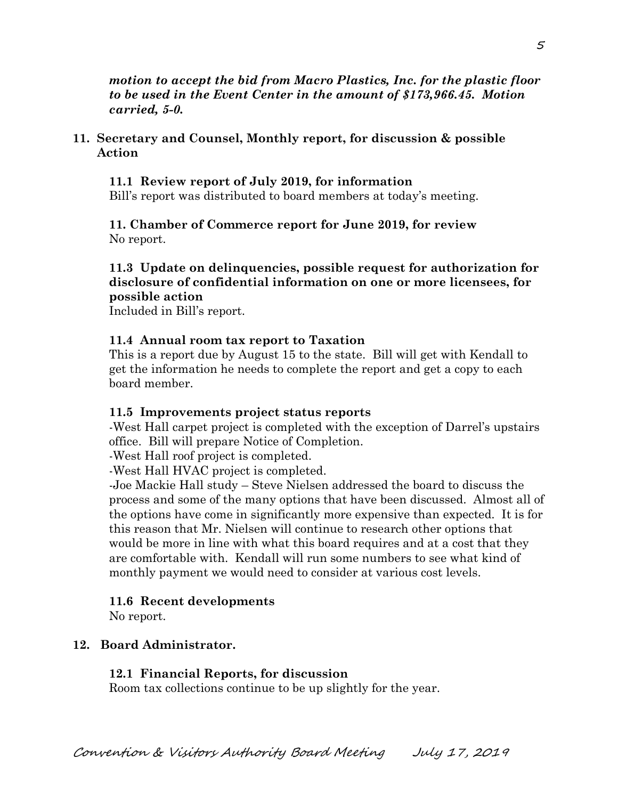*motion to accept the bid from Macro Plastics, Inc. for the plastic floor to be used in the Event Center in the amount of \$173,966.45. Motion carried, 5-0.*

**11. Secretary and Counsel, Monthly report, for discussion & possible Action**

 **11.1 Review report of July 2019, for information** Bill's report was distributed to board members at today's meeting.

**11. Chamber of Commerce report for June 2019, for review** No report.

### **11.3 Update on delinquencies, possible request for authorization for disclosure of confidential information on one or more licensees, for possible action**

Included in Bill's report.

#### **11.4 Annual room tax report to Taxation**

This is a report due by August 15 to the state. Bill will get with Kendall to get the information he needs to complete the report and get a copy to each board member.

#### **11.5 Improvements project status reports**

-West Hall carpet project is completed with the exception of Darrel's upstairs office. Bill will prepare Notice of Completion.

-West Hall roof project is completed.

-West Hall HVAC project is completed.

-Joe Mackie Hall study – Steve Nielsen addressed the board to discuss the process and some of the many options that have been discussed. Almost all of the options have come in significantly more expensive than expected. It is for this reason that Mr. Nielsen will continue to research other options that would be more in line with what this board requires and at a cost that they are comfortable with. Kendall will run some numbers to see what kind of monthly payment we would need to consider at various cost levels.

#### **11.6 Recent developments**

No report.

### **12. Board Administrator.**

#### **12.1 Financial Reports, for discussion**

Room tax collections continue to be up slightly for the year.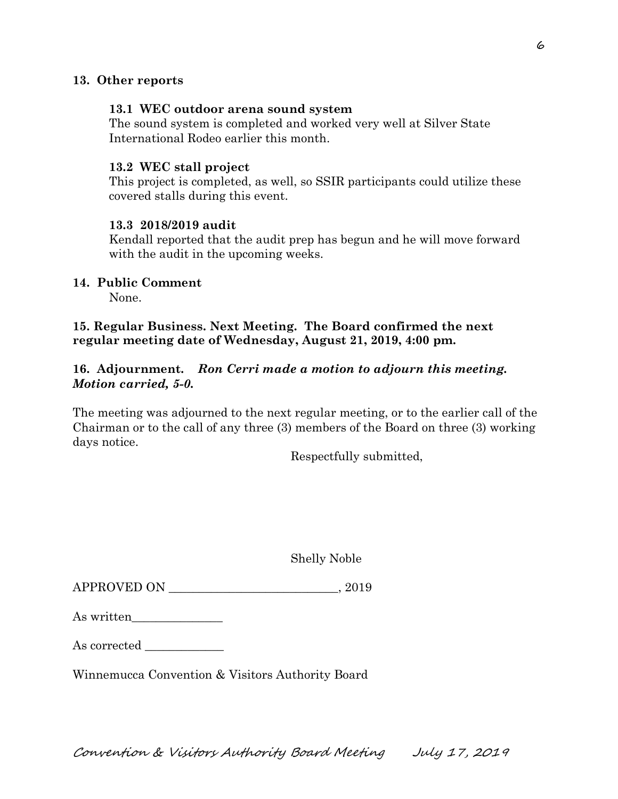### **13. Other reports**

#### **13.1 WEC outdoor arena sound system**

The sound system is completed and worked very well at Silver State International Rodeo earlier this month.

#### **13.2 WEC stall project**

This project is completed, as well, so SSIR participants could utilize these covered stalls during this event.

#### **13.3 2018/2019 audit**

Kendall reported that the audit prep has begun and he will move forward with the audit in the upcoming weeks.

## **14. Public Comment**

None.

### **15. Regular Business. Next Meeting. The Board confirmed the next regular meeting date of Wednesday, August 21, 2019, 4:00 pm.**

## **16. Adjournment.** *Ron Cerri made a motion to adjourn this meeting. Motion carried, 5-0.*

The meeting was adjourned to the next regular meeting, or to the earlier call of the Chairman or to the call of any three (3) members of the Board on three (3) working days notice.

Respectfully submitted,

Shelly Noble

| <b>APPROVED ON</b> |  | 2019 |  |
|--------------------|--|------|--|
|--------------------|--|------|--|

| As written |  |  |
|------------|--|--|
|            |  |  |

| As corrected |  |
|--------------|--|
|--------------|--|

Winnemucca Convention & Visitors Authority Board

Convention & Visitors Authority Board Meeting July 17, 2019